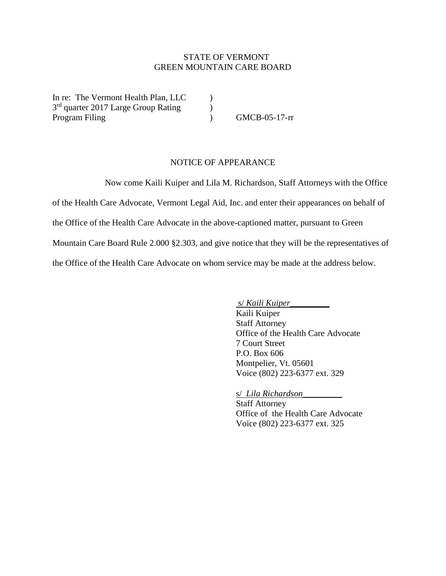## STATE OF VERMONT GREEN MOUNTAIN CARE BOARD

In re: The Vermont Health Plan, LLC  $\qquad \qquad$  ) 3<sup>rd</sup> quarter 2017 Large Group Rating (1) Program Filing (a) GMCB-05-17-rr

## NOTICE OF APPEARANCE

Now come Kaili Kuiper and Lila M. Richardson, Staff Attorneys with the Office of the Health Care Advocate, Vermont Legal Aid, Inc. and enter their appearances on behalf of the Office of the Health Care Advocate in the above-captioned matter, pursuant to Green Mountain Care Board Rule 2.000 §2.303, and give notice that they will be the representatives of the Office of the Health Care Advocate on whom service may be made at the address below.

s/ *Kaili Kuiper*\_\_\_\_\_\_\_\_\_

Kaili Kuiper Staff Attorney Office of the Health Care Advocate 7 Court Street P.O. Box 606 Montpelier, Vt. 05601 Voice (802) 223-6377 ext. 329

s/ *Lila Richardson\_\_\_\_\_\_\_\_\_* Staff Attorney Office of the Health Care Advocate Voice (802) 223-6377 ext. 325